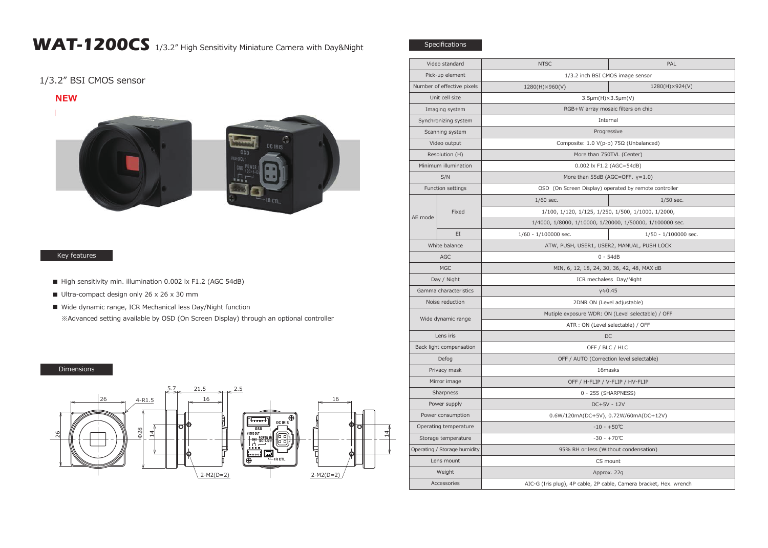## WAT-1200CS 1/3.2" High Sensitivity Miniature Camera with Day&Night

1/3.2" BSI CMOS sensor

**NEW**





## Key features

- High sensitivity min. illumination 0.002 lx F1.2 (AGC 54dB)
- Ultra-compact design only 26 x 26 x 30 mm
- Wide dynamic range, ICR Mechanical less Day/Night function ※Advanced setting available by OSD (On Screen Display) through an optional controller

## Dimensions



| Video standard               |       | <b>NTSC</b>                                                        | PAL                  |
|------------------------------|-------|--------------------------------------------------------------------|----------------------|
| Pick-up element              |       | 1/3.2 inch BSI CMOS image sensor                                   |                      |
| Number of effective pixels   |       | 1280(H)×960(V)                                                     | 1280(H)×924(V)       |
| Unit cell size               |       | 3.5µm(H)×3.5µm(V)                                                  |                      |
| Imaging system               |       | RGB+W array mosaic filters on chip                                 |                      |
| Synchronizing system         |       | Internal                                                           |                      |
| Scanning system              |       | Progressive                                                        |                      |
| Video output                 |       | Composite: 1.0 V(p-p) 75Ω (Unbalanced)                             |                      |
| Resolution (H)               |       | More than 750TVL (Center)                                          |                      |
| Minimum illumination         |       | 0.002 lx F1.2 (AGC=54dB)                                           |                      |
| S/N                          |       | More than 55dB (AGC=OFF, $y=1.0$ )                                 |                      |
| Function settings            |       | OSD (On Screen Display) operated by remote controller              |                      |
| AE mode                      | Fixed | $1/60$ sec.                                                        | $1/50$ sec.          |
|                              |       | 1/100, 1/120, 1/125, 1/250, 1/500, 1/1000, 1/2000,                 |                      |
|                              |       | 1/4000, 1/8000, 1/10000, 1/20000, 1/50000, 1/100000 sec.           |                      |
|                              | EI    | $1/60 - 1/100000$ sec.                                             | 1/50 - 1/100000 sec. |
| White balance                |       | ATW, PUSH, USER1, USER2, MANUAL, PUSH LOCK                         |                      |
| <b>AGC</b>                   |       | $0 - 54dB$                                                         |                      |
| <b>MGC</b>                   |       | MIN, 6, 12, 18, 24, 30, 36, 42, 48, MAX dB                         |                      |
| Day / Night                  |       | ICR mechaless Day/Night                                            |                      |
| Gamma characteristics        |       | $y = 0.45$                                                         |                      |
| Noise reduction              |       | 2DNR ON (Level adjustable)                                         |                      |
| Wide dynamic range           |       | Mutiple exposure WDR: ON (Level selectable) / OFF                  |                      |
|                              |       | ATR : ON (Level selectable) / OFF                                  |                      |
| Lens iris                    |       | DC                                                                 |                      |
| Back light compensation      |       | OFF / BLC / HLC                                                    |                      |
| Defog                        |       | OFF / AUTO (Correction level selectable)                           |                      |
| Privacy mask                 |       | 16masks                                                            |                      |
| Mirror image                 |       | OFF / H-FLIP / V-FLIP / HV-FLIP                                    |                      |
| Sharpness                    |       | 0 - 255 (SHARPNESS)                                                |                      |
| Power supply                 |       | DC+5V - 12V                                                        |                      |
| Power consumption            |       | 0.6W/120mA(DC+5V), 0.72W/60mA(DC+12V)                              |                      |
| Operating temperature        |       | $-10 - +50$ °C                                                     |                      |
| Storage temperature          |       | $-30 - +70^{\circ}C$                                               |                      |
| Operating / Storage humidity |       | 95% RH or less (Without condensation)                              |                      |
| Lens mount                   |       | CS mount                                                           |                      |
| Weight                       |       | Approx. 22g                                                        |                      |
| Accessories                  |       | AIC-G (Iris plug), 4P cable, 2P cable, Camera bracket, Hex. wrench |                      |
|                              |       |                                                                    |                      |

Specifications